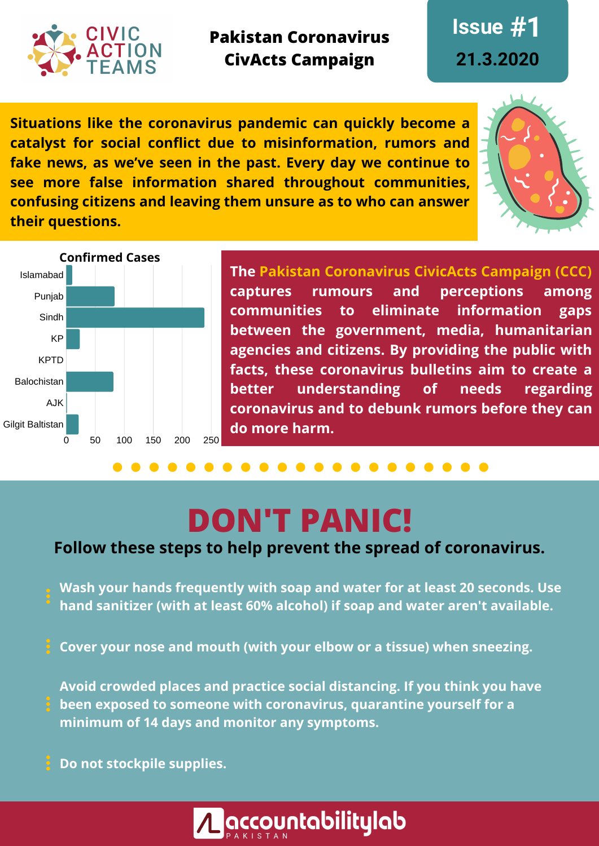

**Pakistan Coronavirus CivActs Campaign**

**Issue #1 21.3.2020**

**Situations like the coronavirus pandemic can quickly become a catalyst for social conflict due to misinformation, rumors and fake news, as we've seen in the past. Every day we continue to see more false information shared throughout communities, confusing citizens and leaving them unsure as to who can answer their questions.**





**The Pakistan Coronavirus CivicActs Campaign (CCC) captures rumours and perceptions among communities to eliminate information gaps between the government, media, humanitarian agencies and citizens. By providing the public with facts, these coronavirus bulletins aim to create a better understanding of needs regarding coronavirus and to debunk rumors before they can do more harm.**

# **DON'T PANIC!**

#### **Follow these steps to help prevent the spread of coronavirus.**

- **Wash your hands frequently with soap and water for at least 20 seconds. Use hand sanitizer (with at least 60% alcohol) if soap and water aren't available.**
- **Cover your nose and mouth (with your elbow or a tissue) when sneezing.**
- **Avoid crowded places and practice social distancing. If you think you have been exposed to someone with coronavirus, quarantine yourself for a minimum of 14 days and monitor any symptoms.**
- **Do not stockpile supplies.**

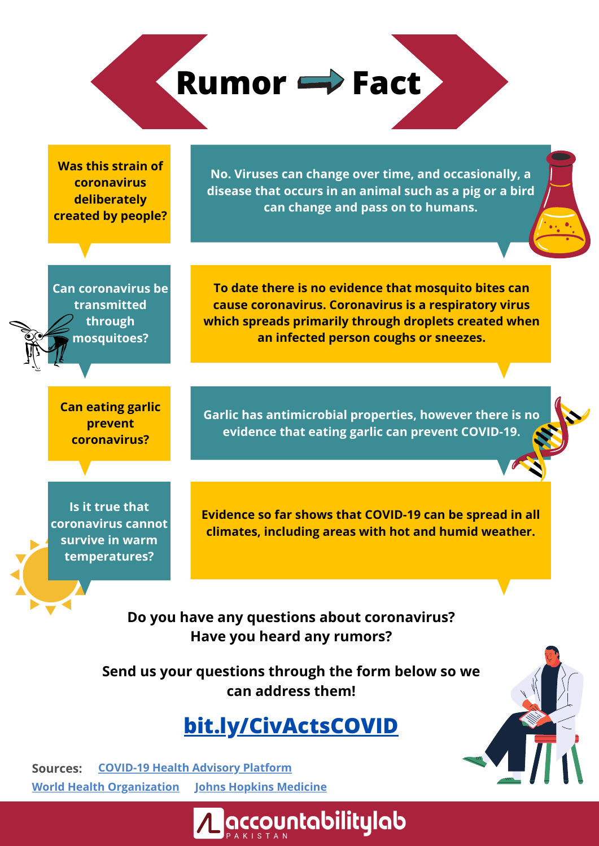**Rumor Fact**

**Was this strain of coronavirus deliberately created by people?**

**No. Viruses can change over time, and occasionally, a disease that occurs in an animal such as a pig or a bird can change and pass on to humans.**

**To date there is no evidence that mosquito bites can cause coronavirus. Coronavirus is a respiratory virus which spreads primarily through droplets created when an infected person coughs or sneezes.**

**Can coronavirus be transmitted through mosquitoes?**

**Can eating garlic prevent coronavirus?**

**Garlic has antimicrobial properties, however there is no evidence that eating garlic can prevent COVID-19.**

**Is it true that coronavirus cannot survive in warm temperatures?**

**Evidence so far shows that COVID-19 can be spread in all climates, including areas with hot and humid weather.**

**Do you have any questions about coronavirus? Have you heard any rumors?**

**Send us your questions through the form below so we can address them!**

### **[bit.ly/CivActsCOVID](https://docs.google.com/forms/d/e/1FAIpQLScUcP4DPFLF76LTh50SG5XEJ10WRpkGDTZvOzen2xZ85m172A/viewform)**

**Accountabilitylab** 

**Sources: [COVID-19](http://www.covid.gov.pk/) Health Advisory PlatformWorld Health [Organization](https://www.who.int/health-topics/coronavirus) Johns Hopkins [Medicine](https://www.hopkinsmedicine.org/health/conditions-and-diseases/coronavirus/2019-novel-coronavirus-myth-versus-fact)**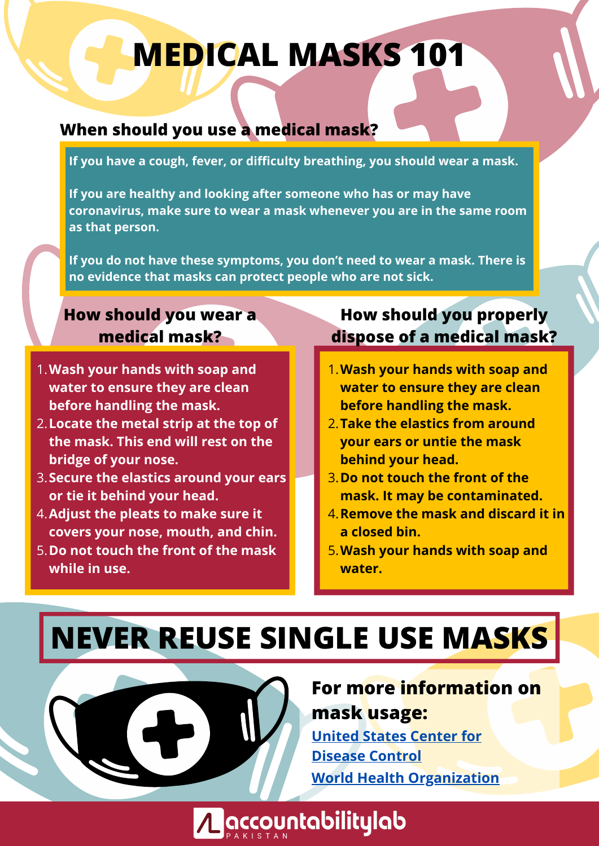# **MEDICAL MASKS 101**

#### **When should you use a medical mask?**

**If you have a cough, fever, or difficulty breathing, you should wear a mask.**

**If you are healthy and looking after someone who has or may have coronavirus, make sure to wear a mask whenever you are in the same room as that person.** 

**If you do not have these symptoms, you don't need to wear a mask. There is no evidence that masks can protect people who are not sick.**

#### **How should you wear a medical mask?**

- **Wash your hands with soap and** 1. **water to ensure they are clean before handling the mask.**
- **Locate the metal strip at the top of** 2. **the mask. This end will rest on the bridge of your nose.**
- **Secure the elastics around your ears** 3. **or tie it behind your head.**
- **Adjust the pleats to make sure it** 4. **covers your nose, mouth, and chin.**
- **Do not touch the front of the mask** 5. **while in use.**

### **How should you properly dispose of a medical mask?**

- **Wash your hands with soap and** 1. **water to ensure they are clean before handling the mask.**
- **Take the elastics from around** 2. **your ears or untie the mask behind your head.**
- **Do not touch the front of the** 3. **mask. It may be contaminated.**
- **Remove the mask and discard it in** 4. **a closed bin.**
- **Wash your hands with soap and** 5. **water.**

# **NEVER REUSE SINGLE USE MASKS**

A accountabilitylab

**For more information on mask usage:**

**United States Center for [Disease](https://www.cdc.gov/coronavirus/2019-ncov/hcp/respirator-use-faq.html#respirators) Control World Health [Organization](https://www.who.int/emergencies/diseases/novel-coronavirus-2019/advice-for-public/when-and-how-to-use-masks)**